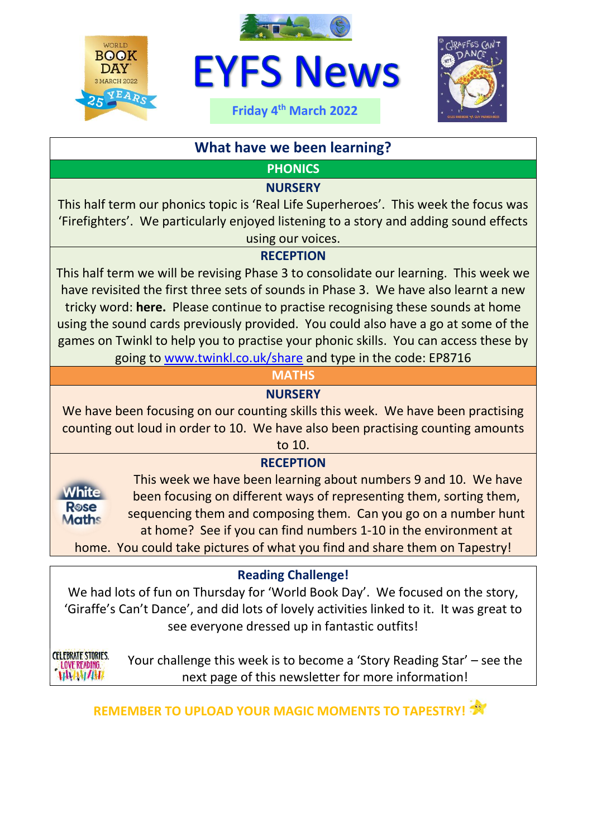





# **What have we been learning?**

**PHONICS**

#### **NURSERY**

This half term our phonics topic is 'Real Life Superheroes'. This week the focus was 'Firefighters'. We particularly enjoyed listening to a story and adding sound effects using our voices.

#### **RECEPTION**

This half term we will be revising Phase 3 to consolidate our learning. This week we have revisited the first three sets of sounds in Phase 3. We have also learnt a new tricky word: **here.** Please continue to practise recognising these sounds at home using the sound cards previously provided. You could also have a go at some of the games on Twinkl to help you to practise your phonic skills. You can access these by going to [www.twinkl.co.uk/share](http://www.twinkl.co.uk/share) and type in the code: EP8716

## **MATHS**

## **NURSERY**

We have been focusing on our counting skills this week. We have been practising counting out loud in order to 10. We have also been practising counting amounts

to 10.

## **RECEPTION**



This week we have been learning about numbers 9 and 10. We have been focusing on different ways of representing them, sorting them, sequencing them and composing them. Can you go on a number hunt at home? See if you can find numbers 1-10 in the environment at

home. You could take pictures of what you find and share them on Tapestry!

## **Reading Challenge!**

We had lots of fun on Thursday for 'World Book Day'. We focused on the story, 'Giraffe's Can't Dance', and did lots of lovely activities linked to it. It was great to see everyone dressed up in fantastic outfits!

**CELEBRATE STORIES. LOVE READING.** WWWW

Your challenge this week is to become a 'Story Reading Star' – see the next page of this newsletter for more information!

**REMEMBER TO UPLOAD YOUR MAGIC MOMENTS TO TAPESTRY!**